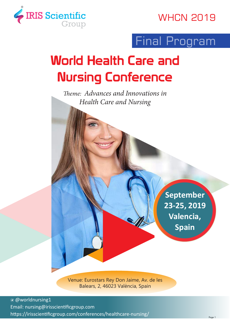

### **WHCN 2019**

## Final Program

# World Health Care and Nursing Conference

*Theme: Advances and Innovations in Health Care and Nursing*

> **September 23-25, 2019 Valencia, Spain**

Venue: Eurostars Rey Don Jaime, Av. de les Balears, 2, 46023 València, Spain

 @worldnursing1 Email: nursing@irisscientificgroup.com https://irisscientificgroup.com/conferences/healthcare-nursing/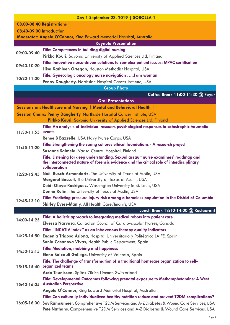|                           | Day 1 September 23, 2019   SOROLLA 1                                                                                                                                                        |  |  |
|---------------------------|---------------------------------------------------------------------------------------------------------------------------------------------------------------------------------------------|--|--|
| 08:00-08:40 Registrations |                                                                                                                                                                                             |  |  |
| 08:40-09:00 Introduction  |                                                                                                                                                                                             |  |  |
|                           | <b>Moderator: Angela O'Connor, King Edward Memorial Hospital, Australia</b>                                                                                                                 |  |  |
|                           | <b>Keynote Presentation</b>                                                                                                                                                                 |  |  |
| 09:00-09:40               | <b>Title: Competences in building digital nursing</b>                                                                                                                                       |  |  |
|                           | Pirkko Kouri, Savonia University of Applied Sciences Ltd, Finland                                                                                                                           |  |  |
| 09:40-10:20               | Title: Innovative nurse-driven solutions to complex patient issues: MPAC certification                                                                                                      |  |  |
|                           | Liisa Kathleen Ortegon, Houston Methodist Hospital, USA                                                                                                                                     |  |  |
|                           | Title: Gynecologic oncology nurse navigation  am woman                                                                                                                                      |  |  |
| 10:20-11:00               | Penny Daugherty, Northside Hospital Cancer Institute, USA                                                                                                                                   |  |  |
|                           | <b>Group Photo</b>                                                                                                                                                                          |  |  |
|                           | Coffee Break 11:00-11:30 @ Foyer                                                                                                                                                            |  |  |
|                           | <b>Oral Presentations</b>                                                                                                                                                                   |  |  |
|                           | Sessions on: Healthcare and Nursing   Mental and Behavioral Health                                                                                                                          |  |  |
|                           | <b>Session Chairs: Penny Daugherty, Northside Hospital Cancer Institute, USA</b>                                                                                                            |  |  |
|                           | Pirkko Kouri, Savonia University of Applied Sciences Ltd, Finland                                                                                                                           |  |  |
|                           | Title: An analysis of individual rescuers psychological responses to catastrophic traumatic                                                                                                 |  |  |
| $11:30-11:55$             | events                                                                                                                                                                                      |  |  |
|                           | Renee B Bazzelle, USA Navy Nurse Corps, USA                                                                                                                                                 |  |  |
| 11:55-12:20               | Title: Strengthening the caring cultures ethical foundations - A research project                                                                                                           |  |  |
|                           | Susanne Salmela, Vaasa Central Hospital, Finland                                                                                                                                            |  |  |
|                           | Title: Listening for deep understanding: Sexual assault nurse examiners' roadmap and<br>the interconnected nature of forensic evidence and the critical role of interdisciplinary           |  |  |
|                           | collaboration                                                                                                                                                                               |  |  |
| $12:20 - 12:45$           | Noël Busch-Armendariz, The University of Texas at Austin, USA                                                                                                                               |  |  |
|                           | Margaret Bassett, The University of Texas at Austin, USA                                                                                                                                    |  |  |
|                           | <b>Deidi Olaya-Rodriguez, Washington University in St. Louis, USA</b>                                                                                                                       |  |  |
|                           | Donna Rolin, The University of Texas at Austin, USA                                                                                                                                         |  |  |
| 12:45-13:10               | Title: Predicting pressure injury risk among a homeless population in the District of Columbia<br>Shirley Evers-Manly, All Health Care/Imani's, USA                                         |  |  |
|                           | Lunch Break 13:10-14:00 @ Restaurant                                                                                                                                                        |  |  |
|                           | Title: A holistic approach to integrating medical robots into patient care                                                                                                                  |  |  |
| 14:00-14:25               | Elvessa Narvasa, Canadian Council of Cardiovascular Nurses, Canada                                                                                                                          |  |  |
|                           | Title: "INCATIV index" as an intravenous therapy quality indicators                                                                                                                         |  |  |
| 14:25-14:50               | Eugenia Trigoso Arjona, Hospital Universitario y Politécnico LA FE, Spain                                                                                                                   |  |  |
|                           | Sonia Casanova Vivas, Health Public Department, Spain                                                                                                                                       |  |  |
|                           | <b>Title: Mediation, mobbing and happiness</b>                                                                                                                                              |  |  |
| $14:50 - 15:15$           | Elena Baixauli Gallego, University of Valencia, Spain                                                                                                                                       |  |  |
|                           | Title: The challenge of transformation of a traditional homecare organization to self-                                                                                                      |  |  |
| $15:15-15:40$             | organized teams                                                                                                                                                                             |  |  |
|                           | Arda Teunissen, Spitex Zürich Limmat, Switzerland                                                                                                                                           |  |  |
|                           | Title: Developmental Outcomes following prenatal exposure to Methamphetamine: A West<br>15:40-16:05 Australian Perspective                                                                  |  |  |
|                           | Angela O'Connor, King Edward Memorial Hospital, Australia                                                                                                                                   |  |  |
|                           | Title: Can culturally individualized healthy nutrition reduce and prevent T2DM complications?                                                                                               |  |  |
|                           | 16:05-16:30 Soy Ramsumeer, Comprehensive T2DM Services and A-Z Diabetes & Wound Care Services, USA<br>Pete Nathans, Comprehensive T2DM Services and A-Z Diabetes & Wound Care Services, USA |  |  |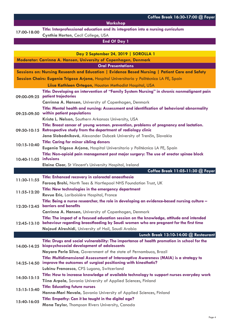#### **Workshop**

#### **17:00-18:00 Title: Interprofessional education and its integration into a nursing curriculum Cynthia Horton,** Cecil College, USA

#### **End Of Day 1**

| Day 2 September 24, 2019   SOROLLA 1                             |                                                                                                                                                                                              |  |
|------------------------------------------------------------------|----------------------------------------------------------------------------------------------------------------------------------------------------------------------------------------------|--|
| Moderator: Carrinna A. Hansen, University of Copenhagen, Denmark |                                                                                                                                                                                              |  |
|                                                                  | <b>Oral Presentations</b>                                                                                                                                                                    |  |
|                                                                  | Sessions on: Nursing Research and Education   Evidence Based Nursing   Patient Care and Safety                                                                                               |  |
|                                                                  | Session Chairs: Eugenia Trigoso Arjona, Hospital Universitario y Politécnico LA FE, Spain                                                                                                    |  |
|                                                                  | Liisa Kathleen Ortegon, Houston Methodist Hospital, USA                                                                                                                                      |  |
|                                                                  | Title: Developing an intervention of "Family System Nursing" in chronic nonmalignant pain<br>09:00-09:25 patient trajectories                                                                |  |
|                                                                  | Carrinna A. Hansen, University of Copenhagen, Denmark                                                                                                                                        |  |
|                                                                  | Title: Mental health and nursing: Assessment and identification of behavioral abnormality<br>09:25-09:50 within patient populations                                                          |  |
|                                                                  | Krista L. Nelson, Southern Arkansas University, USA                                                                                                                                          |  |
| $09:50 - 10:15$                                                  | Title: Breast cancer of young women. prevention, problems of pregnancy and lactation.<br>Retrospective study from the department of radiology clinic                                         |  |
|                                                                  | Jana Slobodníková, Alexander Dubcek University of Trenčín, Slovakia                                                                                                                          |  |
| 10:15-10:40                                                      | <b>Title: Caring for minor sibling donors</b>                                                                                                                                                |  |
|                                                                  | Eugenia Trigoso Arjona, Hospital Universitario y Politécnico LA FE, Spain                                                                                                                    |  |
| 10:40-11:05 infusions                                            | Title: Non-opioid pain management post major surgery: The use of erector spinae block                                                                                                        |  |
|                                                                  | <b>Elaine Clear, St Vincent's University Hospital, Ireland</b>                                                                                                                               |  |
|                                                                  | Coffee Break 11:05-11:30 @ Foyer                                                                                                                                                             |  |
| 11:30-11:55                                                      | Title: Enhanced recovery in colorectal anaesthesia                                                                                                                                           |  |
|                                                                  | <b>Farooq Brohi, North Tees &amp; Hartlepool NHS Foundation Trust, UK</b>                                                                                                                    |  |
| $11:55-12:20$                                                    | Title: New technologies in the emergency department                                                                                                                                          |  |
|                                                                  | Revue Eric, Lariboisière Hospital, France                                                                                                                                                    |  |
| 12:20-12:45                                                      | Title: Being a nurse researcher, the role in developing an evidence-based nursing culture –<br><b>barriers and benefits</b>                                                                  |  |
|                                                                  | Carrinna A. Hansen, University of Copenhagen, Denmark                                                                                                                                        |  |
|                                                                  | Title: The impact of a focused education session on the knowledge, attitude and intended<br>12:45-13:10 behaviour regarding breastfeeding by Saudi women who are pregnant for the first time |  |
|                                                                  | Nojoud Alreshidi, University of Hail, Saudi Arabia                                                                                                                                           |  |
|                                                                  | Lunch Break 13:10-14:00 @ Restaurant                                                                                                                                                         |  |
| 14:00-14:25                                                      | Title: Drugs and social vulnerability: The importance of health promotion in school for the<br>biopsychosocial development of adolescents                                                    |  |
|                                                                  | Nayara Perla Silva, Government of the state of Pernambuco, Brazil                                                                                                                            |  |
|                                                                  | Title: Multidimensional Assessment of Interoceptive Awareness (MAIA) is a strategy to<br>14:25-14:50 improve the outcomes of surgical positioning with kinesthetic?                          |  |
|                                                                  | Lubinu Francesco, CPS Lugano, Switzerland                                                                                                                                                    |  |
| 14:50-15:15                                                      | Title: How to increase knowledge of available technology to support nurses everyday work                                                                                                     |  |
|                                                                  | Tiina Arpola, Savonia University of Applied Sciences, Finland                                                                                                                                |  |
| $15:15-15:40$                                                    | <b>Title: Educating future nurses</b>                                                                                                                                                        |  |
|                                                                  | Hanna-Mari Nevala, Savonia University of Applied Sciences, Finland                                                                                                                           |  |
| 15:40-16:05                                                      | Title: Empathy: Can it be taught in the digital age?                                                                                                                                         |  |
|                                                                  | Mona Taylor, Thompson Rivers University, Canada                                                                                                                                              |  |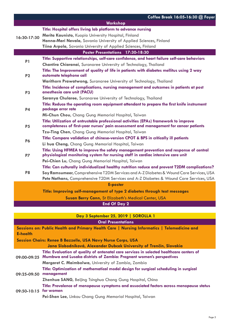|                                  | Coffee Break 16:05-16:30 @ Foyer                                                                                                                                               |  |  |
|----------------------------------|--------------------------------------------------------------------------------------------------------------------------------------------------------------------------------|--|--|
|                                  | Workshop                                                                                                                                                                       |  |  |
| 16:30-17:30                      | Title: Hospital offers living lab platform to advance nursing                                                                                                                  |  |  |
|                                  | Merita Kaunisto, Kuopio University Hospital, Finland                                                                                                                           |  |  |
|                                  | Hanna-Mari Nevala, Savonia University of Applied Sciences, Finland                                                                                                             |  |  |
|                                  | Tiina Arpola, Savonia University of Applied Sciences, Finland                                                                                                                  |  |  |
| Poster Presentations 17:30-18:30 |                                                                                                                                                                                |  |  |
| P1                               | Title: Supportive relationships, self-care confidence, and heart failure self-care behaviors                                                                                   |  |  |
|                                  | Chantira Chiaranai, Suranaree University of Technology, Thailand                                                                                                               |  |  |
| P <sub>2</sub>                   | Title: The Improvement of quality of life in patients with diabetes mellitus using 2 way<br>automate telephone call                                                            |  |  |
|                                  | Warithorn Prawatwong, Suranaree University of Technology, Thailand                                                                                                             |  |  |
| <b>P3</b>                        | Title: Incidence of complications, nursing management and outcomes in patients at post<br>anesthesia care unit (PACU)                                                          |  |  |
|                                  | Saranya Chularee, Suranaree University of Technology, Thailand                                                                                                                 |  |  |
| <b>P4</b>                        | Title: Reduce the operating room equipment attendant to prepare the first knife instrument<br>package error rate                                                               |  |  |
|                                  | Mi-Chun Chou, Chang Gung Memorial Hospital, Taiwan                                                                                                                             |  |  |
| <b>P5</b>                        | Title: Utilization of entrustable professional activities (EPAs) framework to improve<br>completeness of first-year nurses' pain assessment and management for cancer patients |  |  |
|                                  | Tzu-Ting Chen, Chang Gung Memorial Hospital, Taiwan                                                                                                                            |  |  |
| <b>P6</b>                        | Title: Compare validation of chinese-version CPOT & BPS in critically ill patients                                                                                             |  |  |
|                                  | Li hua Cheng, Chang Gung Memorial Hospital, Taiwan                                                                                                                             |  |  |
| <b>P7</b>                        | Title: Using HFMEA to improve the safety management prevention and response of central<br>physiological monitoring system for nursing staff in cardiac intensive care unit     |  |  |
|                                  | Pei-Chien Lu, Chang Gung Memorial Hospital, Taiwan                                                                                                                             |  |  |
| P <sub>8</sub>                   | Title: Can culturally individualized healthy nutrition reduce and prevent T2DM complications?                                                                                  |  |  |
|                                  | Soy Ramsumeer, Comprehensive T2DM Services and A-Z Diabetes & Wound Care Services, USA                                                                                         |  |  |
|                                  | Pete Nathans, Comprehensive T2DM Services and A-Z Diabetes & Wound Care Services, USA                                                                                          |  |  |
|                                  | <b>E-poster</b>                                                                                                                                                                |  |  |
|                                  | Title: Improving self-management of type 2 diabetes through text messages                                                                                                      |  |  |
|                                  | Susan Berry Cann, St Elizabeth's Medical Center, USA                                                                                                                           |  |  |
|                                  | <b>End Of Day 2</b>                                                                                                                                                            |  |  |

**Day 3 September 25, 2019 | SOROLLA 1** 

#### **Oral Presentations**

**Sessions on: Public Health and Primary Health Care | Nursing Informatics | Telemedicine and E-health**

**Session Chairs: Renee B Bazzelle, USA Navy Nurse Corps, USA**

|                       | Jana Slobodníková, Alexander Dubcek University of Trenčín, Slovakia                                                                                               |
|-----------------------|-------------------------------------------------------------------------------------------------------------------------------------------------------------------|
| 09:00-09:25           | Title: Evaluation of quality of antenatal care services in selected healthcare centers of<br>Mumbwa and Lusaka districts of Zambia: Pregnant women's perspectives |
|                       | Margaret C. Maimbolwa, University of Zambia, Zambia                                                                                                               |
| 09:25-09:50           | Title: Optimization of mathematical model design for surgical scheduling in surgical<br>management                                                                |
|                       | <b>Zhenhua SANG, Beijing Tsinghua Chang Gung Hospital, China</b>                                                                                                  |
| 09:50-10:15 for women | Title: Prevalence of menopause symptoms and associated factors across menopause status                                                                            |
|                       | Pei-Shan Lee, Linkou Chang Gung Memorial Hospital, Taiwan                                                                                                         |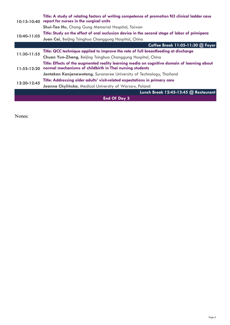| $10:15 - 10:40$     | Title: A study of relating factors of writing competence of promotion N3 clinical ladder case<br>report for nurses in the surgical units                 |  |
|---------------------|----------------------------------------------------------------------------------------------------------------------------------------------------------|--|
|                     | <b>Shui-Tao Hu, Chang Gung Memorial Hospital, Taiwan</b>                                                                                                 |  |
|                     | Title: Study on the effect of oral occlusion device in the second stage of labor of primipara                                                            |  |
| 10:40-11:05         | Juan Cai, Beijing Tsinghua Changgung Hospital, China                                                                                                     |  |
|                     | Coffee Break 11:05-11:30 @ Foyer                                                                                                                         |  |
| 11:30-11:55         | Title: QCC technique applied to improve the rate of full breastfeeding at discharge                                                                      |  |
|                     | Chuan Yun-Zhang, Beijing Tsinghua Changgung Hospital, China                                                                                              |  |
| $11:55 - 12:20$     | Title: Effects of the augmented reality learning media on cognitive domain of learning about<br>normal mechanisms of childbirth in Thai nursing students |  |
|                     | Jantakan Kanjanawetang, Suranaree University of Technology, Thailand                                                                                     |  |
| 12:20-12:45         | Title: Addressing older adults' visit-related expectations in primary care                                                                               |  |
|                     | Joanna Chylińska, Medical University of Warsaw, Poland                                                                                                   |  |
|                     | Lunch Break 12:45-13:45 @ Restaurant                                                                                                                     |  |
| <b>End Of Day 3</b> |                                                                                                                                                          |  |

**Notes:**